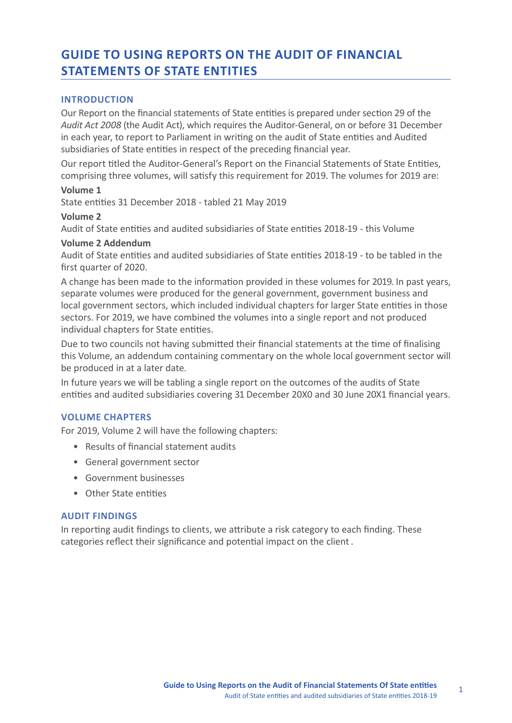# **GUIDE TO USING REPORTS ON THE AUDIT OF FINANCIAL STATEMENTS OF STATE ENTITIES**

## **INTRODUCTION**

Our Report on the financial statements of State entities is prepared under section 29 of the *Audit Act 2008* (the Audit Act), which requires the Auditor-General, on or before 31 December in each year, to report to Parliament in writing on the audit of State entities and Audited subsidiaries of State entities in respect of the preceding financial year.

Our report titled the Auditor-General's Report on the Financial Statements of State Entities, comprising three volumes, will satisfy this requirement for 2019. The volumes for 2019 are:

## **Volume 1**

State entities 31 December 2018 - tabled 21 May 2019

## **Volume 2**

Audit of State entities and audited subsidiaries of State entities 2018-19 - this Volume

## **Volume 2 Addendum**

Audit of State entities and audited subsidiaries of State entities 2018-19 - to be tabled in the first quarter of 2020.

A change has been made to the information provided in these volumes for 2019. In past years, separate volumes were produced for the general government, government business and local government sectors, which included individual chapters for larger State entities in those sectors. For 2019, we have combined the volumes into a single report and not produced individual chapters for State entities.

Due to two councils not having submitted their financial statements at the time of finalising this Volume, an addendum containing commentary on the whole local government sector will be produced in at a later date.

In future years we will be tabling a single report on the outcomes of the audits of State entities and audited subsidiaries covering 31 December 20X0 and 30 June 20X1 financial years.

## **VOLUME CHAPTERS**

For 2019, Volume 2 will have the following chapters:

- Results of financial statement audits
- General government sector
- Government businesses
- Other State entities

## **AUDIT FINDINGS**

In reporting audit findings to clients, we attribute a risk category to each finding. These categories reflect their significance and potential impact on the client.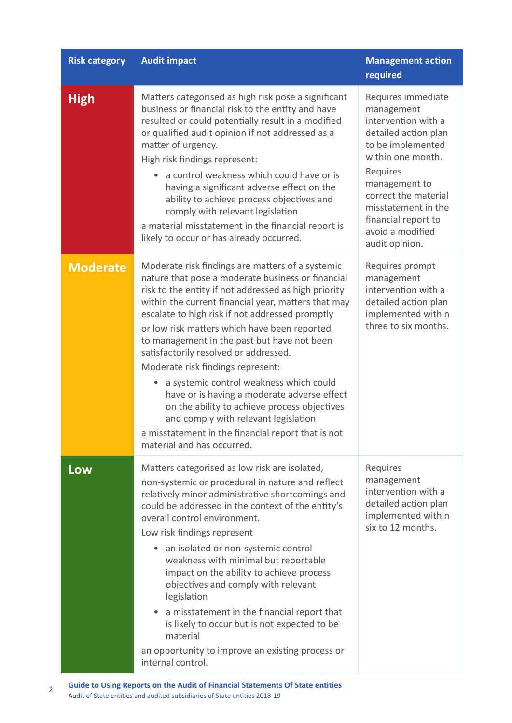| <b>Risk category</b> | <b>Audit impact</b>                                                                                                                                                                                                                                                                                                                                                                                                                                                                                                                                                                                                                                                                                                                     | <b>Management action</b><br>required                                                                                                                                                                                                                               |
|----------------------|-----------------------------------------------------------------------------------------------------------------------------------------------------------------------------------------------------------------------------------------------------------------------------------------------------------------------------------------------------------------------------------------------------------------------------------------------------------------------------------------------------------------------------------------------------------------------------------------------------------------------------------------------------------------------------------------------------------------------------------------|--------------------------------------------------------------------------------------------------------------------------------------------------------------------------------------------------------------------------------------------------------------------|
| <b>High</b>          | Matters categorised as high risk pose a significant<br>business or financial risk to the entity and have<br>resulted or could potentially result in a modified<br>or qualified audit opinion if not addressed as a<br>matter of urgency.<br>High risk findings represent:<br>a control weakness which could have or is<br>$\bullet$<br>having a significant adverse effect on the<br>ability to achieve process objectives and<br>comply with relevant legislation<br>a material misstatement in the financial report is<br>likely to occur or has already occurred.                                                                                                                                                                    | Requires immediate<br>management<br>intervention with a<br>detailed action plan<br>to be implemented<br>within one month.<br>Requires<br>management to<br>correct the material<br>misstatement in the<br>financial report to<br>avoid a modified<br>audit opinion. |
| <b>Moderate</b>      | Moderate risk findings are matters of a systemic<br>nature that pose a moderate business or financial<br>risk to the entity if not addressed as high priority<br>within the current financial year, matters that may<br>escalate to high risk if not addressed promptly<br>or low risk matters which have been reported<br>to management in the past but have not been<br>satisfactorily resolved or addressed.<br>Moderate risk findings represent:<br>a systemic control weakness which could<br>$\bullet$<br>have or is having a moderate adverse effect<br>on the ability to achieve process objectives<br>and comply with relevant legislation<br>a misstatement in the financial report that is not<br>material and has occurred. | Requires prompt<br>management<br>intervention with a<br>detailed action plan<br>implemented within<br>three to six months.                                                                                                                                         |
| Low                  | Matters categorised as low risk are isolated,<br>non-systemic or procedural in nature and reflect<br>relatively minor administrative shortcomings and<br>could be addressed in the context of the entity's<br>overall control environment.<br>Low risk findings represent<br>• an isolated or non-systemic control<br>weakness with minimal but reportable<br>impact on the ability to achieve process<br>objectives and comply with relevant<br>legislation<br>a misstatement in the financial report that<br>۰<br>is likely to occur but is not expected to be<br>material<br>an opportunity to improve an existing process or<br>internal control.                                                                                   | Requires<br>management<br>intervention with a<br>detailed action plan<br>implemented within<br>six to 12 months.                                                                                                                                                   |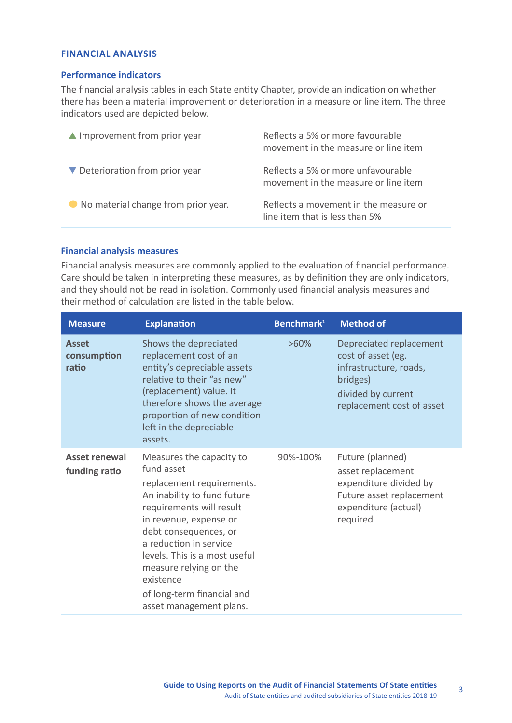## **FINANCIAL ANALYSIS**

## **Performance indicators**

The financial analysis tables in each State entity Chapter, provide an indication on whether there has been a material improvement or deterioration in a measure or line item. The three indicators used are depicted below.

| $\blacktriangle$ Improvement from prior year | Reflects a 5% or more favourable<br>movement in the measure or line item   |
|----------------------------------------------|----------------------------------------------------------------------------|
| ▼ Deterioration from prior year              | Reflects a 5% or more unfavourable<br>movement in the measure or line item |
| ● No material change from prior year.        | Reflects a movement in the measure or<br>line item that is less than 5%    |

## **Financial analysis measures**

Financial analysis measures are commonly applied to the evaluation of financial performance. Care should be taken in interpreting these measures, as by definition they are only indicators, and they should not be read in isolation. Commonly used financial analysis measures and their method of calculation are listed in the table below.

| <b>Measure</b>                        | <b>Explanation</b>                                                                                                                                                                                                                                                                                                                           | Benchmark <sup>1</sup> | <b>Method of</b>                                                                                                                       |
|---------------------------------------|----------------------------------------------------------------------------------------------------------------------------------------------------------------------------------------------------------------------------------------------------------------------------------------------------------------------------------------------|------------------------|----------------------------------------------------------------------------------------------------------------------------------------|
| <b>Asset</b><br>consumption<br>ratio  | Shows the depreciated<br>replacement cost of an<br>entity's depreciable assets<br>relative to their "as new"<br>(replacement) value. It<br>therefore shows the average<br>proportion of new condition<br>left in the depreciable<br>assets.                                                                                                  | $>60\%$                | Depreciated replacement<br>cost of asset (eg.<br>infrastructure, roads,<br>bridges)<br>divided by current<br>replacement cost of asset |
| <b>Asset renewal</b><br>funding ratio | Measures the capacity to<br>fund asset<br>replacement requirements.<br>An inability to fund future<br>requirements will result<br>in revenue, expense or<br>debt consequences, or<br>a reduction in service<br>levels. This is a most useful<br>measure relying on the<br>existence<br>of long-term financial and<br>asset management plans. | 90%-100%               | Future (planned)<br>asset replacement<br>expenditure divided by<br>Future asset replacement<br>expenditure (actual)<br>required        |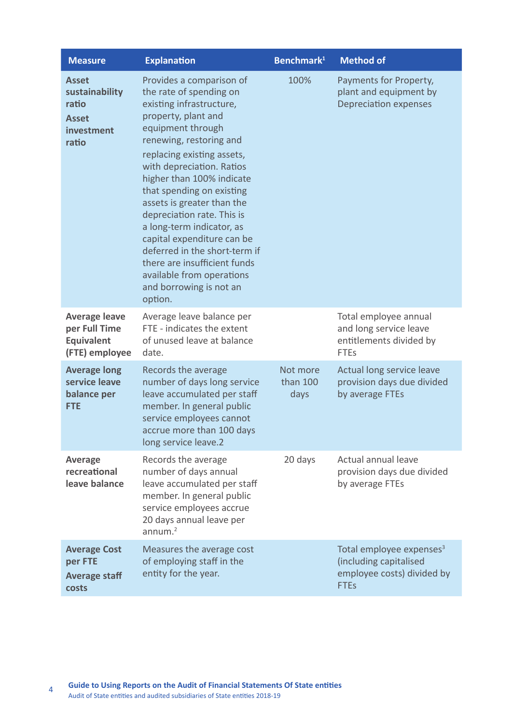| <b>Measure</b>                                                                 | <b>Explanation</b>                                                                                                                                                                                                                                                                                                                                                                                                                                                                                                                     | Benchmark <sup>1</sup>       | <b>Method of</b>                                                                                            |
|--------------------------------------------------------------------------------|----------------------------------------------------------------------------------------------------------------------------------------------------------------------------------------------------------------------------------------------------------------------------------------------------------------------------------------------------------------------------------------------------------------------------------------------------------------------------------------------------------------------------------------|------------------------------|-------------------------------------------------------------------------------------------------------------|
| <b>Asset</b><br>sustainability<br>ratio<br><b>Asset</b><br>investment<br>ratio | Provides a comparison of<br>the rate of spending on<br>existing infrastructure,<br>property, plant and<br>equipment through<br>renewing, restoring and<br>replacing existing assets,<br>with depreciation. Ratios<br>higher than 100% indicate<br>that spending on existing<br>assets is greater than the<br>depreciation rate. This is<br>a long-term indicator, as<br>capital expenditure can be<br>deferred in the short-term if<br>there are insufficient funds<br>available from operations<br>and borrowing is not an<br>option. | 100%                         | Payments for Property,<br>plant and equipment by<br><b>Depreciation expenses</b>                            |
| <b>Average leave</b><br>per Full Time<br><b>Equivalent</b><br>(FTE) employee   | Average leave balance per<br>FTE - indicates the extent<br>of unused leave at balance<br>date.                                                                                                                                                                                                                                                                                                                                                                                                                                         |                              | Total employee annual<br>and long service leave<br>entitlements divided by<br><b>FTEs</b>                   |
| <b>Average long</b><br>service leave<br>balance per<br><b>FTE</b>              | Records the average<br>number of days long service<br>leave accumulated per staff<br>member. In general public<br>service employees cannot<br>accrue more than 100 days<br>long service leave.2                                                                                                                                                                                                                                                                                                                                        | Not more<br>than 100<br>days | Actual long service leave<br>provision days due divided<br>by average FTEs                                  |
| <b>Average</b><br>recreational<br>leave balance                                | Records the average<br>number of days annual<br>leave accumulated per staff<br>member. In general public<br>service employees accrue<br>20 days annual leave per<br>annum. <sup>2</sup>                                                                                                                                                                                                                                                                                                                                                | 20 days                      | Actual annual leave<br>provision days due divided<br>by average FTEs                                        |
| <b>Average Cost</b><br>per FTE<br><b>Average staff</b><br>costs                | Measures the average cost<br>of employing staff in the<br>entity for the year.                                                                                                                                                                                                                                                                                                                                                                                                                                                         |                              | Total employee expenses <sup>3</sup><br>(including capitalised<br>employee costs) divided by<br><b>FTEs</b> |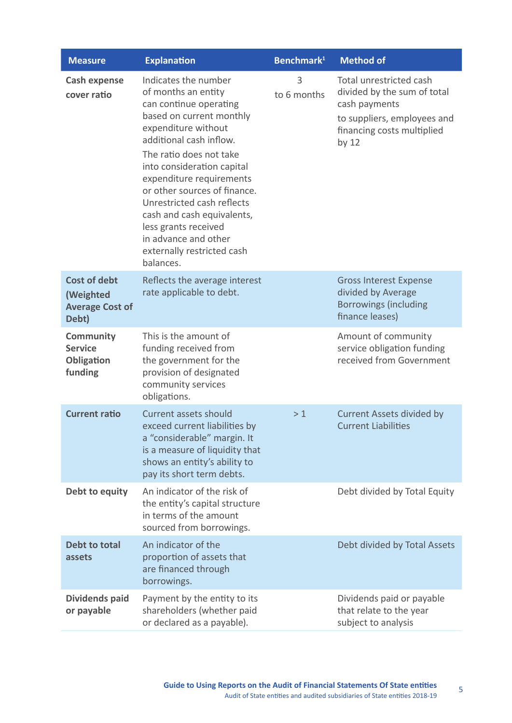| <b>Measure</b>                                                      | <b>Explanation</b>                                                                                                                                                                                                                                                                                                                                                                                                              | Benchmark <sup>1</sup> | <b>Method of</b>                                                                                                                                |
|---------------------------------------------------------------------|---------------------------------------------------------------------------------------------------------------------------------------------------------------------------------------------------------------------------------------------------------------------------------------------------------------------------------------------------------------------------------------------------------------------------------|------------------------|-------------------------------------------------------------------------------------------------------------------------------------------------|
| <b>Cash expense</b><br>cover ratio                                  | Indicates the number<br>of months an entity<br>can continue operating<br>based on current monthly<br>expenditure without<br>additional cash inflow.<br>The ratio does not take<br>into consideration capital<br>expenditure requirements<br>or other sources of finance.<br>Unrestricted cash reflects<br>cash and cash equivalents,<br>less grants received<br>in advance and other<br>externally restricted cash<br>balances. | 3<br>to 6 months       | Total unrestricted cash<br>divided by the sum of total<br>cash payments<br>to suppliers, employees and<br>financing costs multiplied<br>by $12$ |
| <b>Cost of debt</b><br>(Weighted<br><b>Average Cost of</b><br>Debt) | Reflects the average interest<br>rate applicable to debt.                                                                                                                                                                                                                                                                                                                                                                       |                        | <b>Gross Interest Expense</b><br>divided by Average<br><b>Borrowings (including</b><br>finance leases)                                          |
| <b>Community</b><br><b>Service</b><br>Obligation<br>funding         | This is the amount of<br>funding received from<br>the government for the<br>provision of designated<br>community services<br>obligations.                                                                                                                                                                                                                                                                                       |                        | Amount of community<br>service obligation funding<br>received from Government                                                                   |
| <b>Current ratio</b>                                                | <b>Current assets should</b><br>exceed current liabilities by<br>a "considerable" margin. It<br>is a measure of liquidity that<br>shows an entity's ability to<br>pay its short term debts.                                                                                                                                                                                                                                     | >1                     | <b>Current Assets divided by</b><br><b>Current Liabilities</b>                                                                                  |
| Debt to equity                                                      | An indicator of the risk of<br>the entity's capital structure<br>in terms of the amount<br>sourced from borrowings.                                                                                                                                                                                                                                                                                                             |                        | Debt divided by Total Equity                                                                                                                    |
| <b>Debt to total</b><br>assets                                      | An indicator of the<br>proportion of assets that<br>are financed through<br>borrowings.                                                                                                                                                                                                                                                                                                                                         |                        | Debt divided by Total Assets                                                                                                                    |
| <b>Dividends paid</b><br>or payable                                 | Payment by the entity to its<br>shareholders (whether paid<br>or declared as a payable).                                                                                                                                                                                                                                                                                                                                        |                        | Dividends paid or payable<br>that relate to the year<br>subject to analysis                                                                     |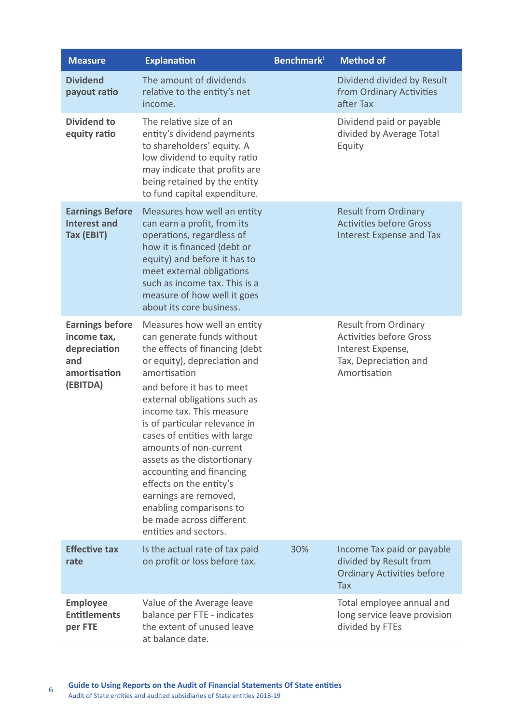| <b>Measure</b>                                                                           | <b>Explanation</b>                                                                                                                                                                                                                                                                                                                                                                                                                                                                                                             | Benchmark <sup>1</sup> | <b>Method of</b>                                                                                                            |
|------------------------------------------------------------------------------------------|--------------------------------------------------------------------------------------------------------------------------------------------------------------------------------------------------------------------------------------------------------------------------------------------------------------------------------------------------------------------------------------------------------------------------------------------------------------------------------------------------------------------------------|------------------------|-----------------------------------------------------------------------------------------------------------------------------|
| <b>Dividend</b><br>payout ratio                                                          | The amount of dividends<br>relative to the entity's net<br>income.                                                                                                                                                                                                                                                                                                                                                                                                                                                             |                        | Dividend divided by Result<br>from Ordinary Activities<br>after Tax                                                         |
| <b>Dividend to</b><br>equity ratio                                                       | The relative size of an<br>entity's dividend payments<br>to shareholders' equity. A<br>low dividend to equity ratio<br>may indicate that profits are<br>being retained by the entity<br>to fund capital expenditure.                                                                                                                                                                                                                                                                                                           |                        | Dividend paid or payable<br>divided by Average Total<br>Equity                                                              |
| <b>Earnings Before</b><br><b>Interest and</b><br>Tax (EBIT)                              | Measures how well an entity<br>can earn a profit, from its<br>operations, regardless of<br>how it is financed (debt or<br>equity) and before it has to<br>meet external obligations<br>such as income tax. This is a<br>measure of how well it goes<br>about its core business.                                                                                                                                                                                                                                                |                        | <b>Result from Ordinary</b><br><b>Activities before Gross</b><br><b>Interest Expense and Tax</b>                            |
| <b>Earnings before</b><br>income tax,<br>depreciation<br>and<br>amortisation<br>(EBITDA) | Measures how well an entity<br>can generate funds without<br>the effects of financing (debt<br>or equity), depreciation and<br>amortisation<br>and before it has to meet<br>external obligations such as<br>income tax. This measure<br>is of particular relevance in<br>cases of entities with large<br>amounts of non-current<br>assets as the distortionary<br>accounting and financing<br>effects on the entity's<br>earnings are removed,<br>enabling comparisons to<br>be made across different<br>entities and sectors. |                        | <b>Result from Ordinary</b><br><b>Activities before Gross</b><br>Interest Expense,<br>Tax, Depreciation and<br>Amortisation |
| <b>Effective tax</b><br>rate                                                             | Is the actual rate of tax paid<br>on profit or loss before tax.                                                                                                                                                                                                                                                                                                                                                                                                                                                                | 30%                    | Income Tax paid or payable<br>divided by Result from<br><b>Ordinary Activities before</b><br>Tax                            |
| <b>Employee</b><br><b>Entitlements</b><br>per FTE                                        | Value of the Average leave<br>balance per FTE - indicates<br>the extent of unused leave<br>at balance date.                                                                                                                                                                                                                                                                                                                                                                                                                    |                        | Total employee annual and<br>long service leave provision<br>divided by FTEs                                                |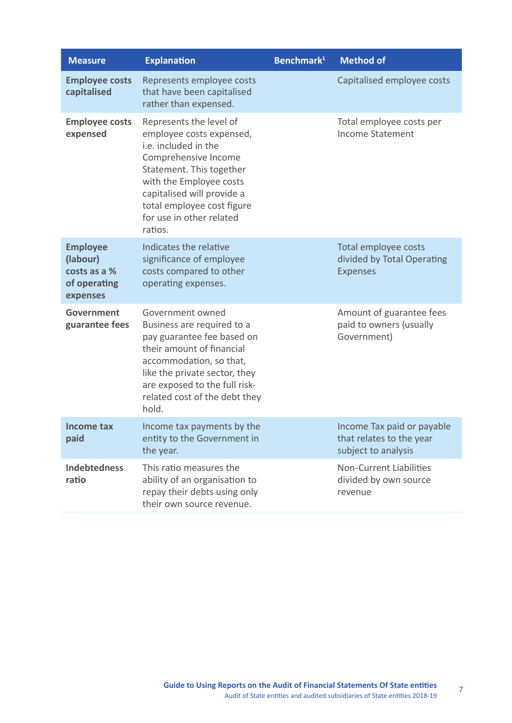| <b>Measure</b>                                                          | <b>Explanation</b>                                                                                                                                                                                                                                            | Benchmark $1$ | <b>Method of</b>                                                              |
|-------------------------------------------------------------------------|---------------------------------------------------------------------------------------------------------------------------------------------------------------------------------------------------------------------------------------------------------------|---------------|-------------------------------------------------------------------------------|
| <b>Employee costs</b><br>capitalised                                    | Represents employee costs<br>that have been capitalised<br>rather than expensed.                                                                                                                                                                              |               | Capitalised employee costs                                                    |
| <b>Employee costs</b><br>expensed                                       | Represents the level of<br>employee costs expensed,<br>i.e. included in the<br>Comprehensive Income<br>Statement. This together<br>with the Employee costs<br>capitalised will provide a<br>total employee cost figure<br>for use in other related<br>ratios. |               | Total employee costs per<br><b>Income Statement</b>                           |
| <b>Employee</b><br>(labour)<br>costs as a %<br>of operating<br>expenses | Indicates the relative<br>significance of employee<br>costs compared to other<br>operating expenses.                                                                                                                                                          |               | Total employee costs<br>divided by Total Operating<br><b>Expenses</b>         |
| Government<br>guarantee fees                                            | Government owned<br>Business are required to a<br>pay guarantee fee based on<br>their amount of financial<br>accommodation, so that,<br>like the private sector, they<br>are exposed to the full risk-<br>related cost of the debt they<br>hold.              |               | Amount of guarantee fees<br>paid to owners (usually<br>Government)            |
| Income tax<br>paid                                                      | Income tax payments by the<br>entity to the Government in<br>the year.                                                                                                                                                                                        |               | Income Tax paid or payable<br>that relates to the year<br>subject to analysis |
| <b>Indebtedness</b><br>ratio                                            | This ratio measures the<br>ability of an organisation to<br>repay their debts using only<br>their own source revenue.                                                                                                                                         |               | <b>Non-Current Liabilities</b><br>divided by own source<br>revenue            |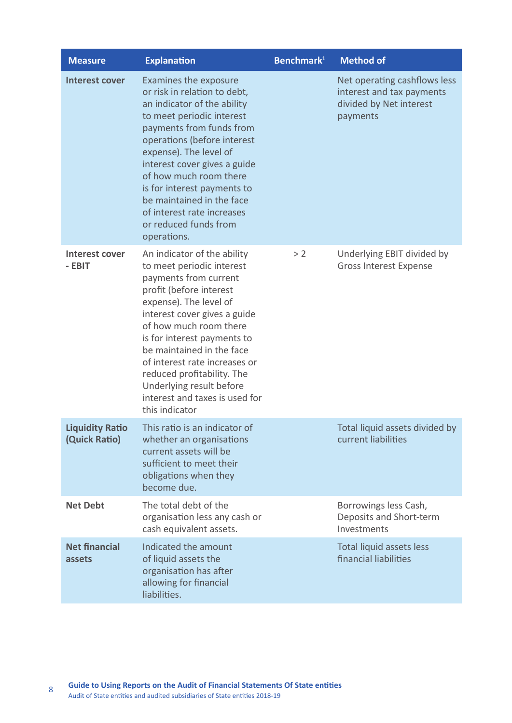| <b>Measure</b>                          | <b>Explanation</b>                                                                                                                                                                                                                                                                                                                                                                                          | Benchmark <sup>1</sup> | <b>Method of</b>                                                                                 |
|-----------------------------------------|-------------------------------------------------------------------------------------------------------------------------------------------------------------------------------------------------------------------------------------------------------------------------------------------------------------------------------------------------------------------------------------------------------------|------------------------|--------------------------------------------------------------------------------------------------|
| <b>Interest cover</b>                   | Examines the exposure<br>or risk in relation to debt,<br>an indicator of the ability<br>to meet periodic interest<br>payments from funds from<br>operations (before interest<br>expense). The level of<br>interest cover gives a guide<br>of how much room there<br>is for interest payments to<br>be maintained in the face<br>of interest rate increases<br>or reduced funds from<br>operations.          |                        | Net operating cashflows less<br>interest and tax payments<br>divided by Net interest<br>payments |
| <b>Interest cover</b><br>- EBIT         | An indicator of the ability<br>to meet periodic interest<br>payments from current<br>profit (before interest<br>expense). The level of<br>interest cover gives a guide<br>of how much room there<br>is for interest payments to<br>be maintained in the face<br>of interest rate increases or<br>reduced profitability. The<br>Underlying result before<br>interest and taxes is used for<br>this indicator | > 2                    | Underlying EBIT divided by<br><b>Gross Interest Expense</b>                                      |
| <b>Liquidity Ratio</b><br>(Quick Ratio) | This ratio is an indicator of<br>whether an organisations<br>current assets will be<br>sufficient to meet their<br>obligations when they<br>become due.                                                                                                                                                                                                                                                     |                        | Total liquid assets divided by<br>current liabilities                                            |
| <b>Net Debt</b>                         | The total debt of the<br>organisation less any cash or<br>cash equivalent assets.                                                                                                                                                                                                                                                                                                                           |                        | Borrowings less Cash,<br>Deposits and Short-term<br>Investments                                  |
| <b>Net financial</b><br>assets          | Indicated the amount<br>of liquid assets the<br>organisation has after<br>allowing for financial<br>liabilities.                                                                                                                                                                                                                                                                                            |                        | Total liquid assets less<br>financial liabilities                                                |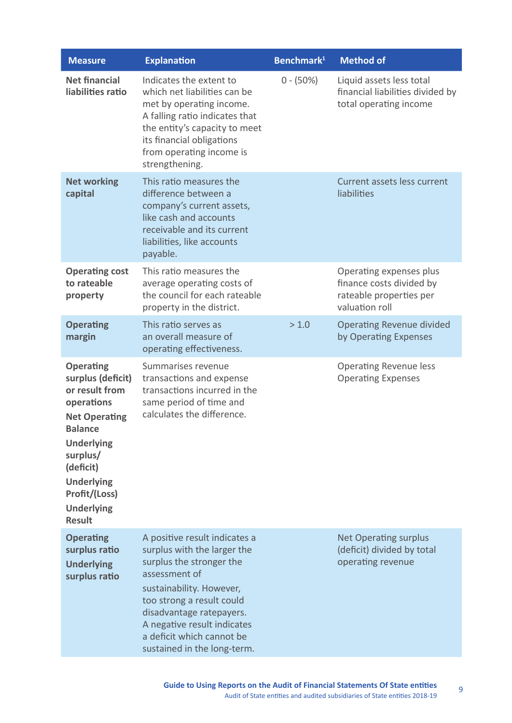| <b>Measure</b>                                                                                                                                                                                                                            | <b>Explanation</b>                                                                                                                                                                                                                                                                        | Benchmark <sup>1</sup> | <b>Method of</b>                                                                                 |
|-------------------------------------------------------------------------------------------------------------------------------------------------------------------------------------------------------------------------------------------|-------------------------------------------------------------------------------------------------------------------------------------------------------------------------------------------------------------------------------------------------------------------------------------------|------------------------|--------------------------------------------------------------------------------------------------|
| <b>Net financial</b><br>liabilities ratio                                                                                                                                                                                                 | Indicates the extent to<br>which net liabilities can be<br>met by operating income.<br>A falling ratio indicates that<br>the entity's capacity to meet<br>its financial obligations<br>from operating income is<br>strengthening.                                                         | $0 - (50\%)$           | Liquid assets less total<br>financial liabilities divided by<br>total operating income           |
| <b>Net working</b><br>capital                                                                                                                                                                                                             | This ratio measures the<br>difference between a<br>company's current assets,<br>like cash and accounts<br>receivable and its current<br>liabilities, like accounts<br>payable.                                                                                                            |                        | <b>Current assets less current</b><br>liabilities                                                |
| <b>Operating cost</b><br>to rateable<br>property                                                                                                                                                                                          | This ratio measures the<br>average operating costs of<br>the council for each rateable<br>property in the district.                                                                                                                                                                       |                        | Operating expenses plus<br>finance costs divided by<br>rateable properties per<br>valuation roll |
| <b>Operating</b><br>margin                                                                                                                                                                                                                | This ratio serves as<br>an overall measure of<br>operating effectiveness.                                                                                                                                                                                                                 | > 1.0                  | <b>Operating Revenue divided</b><br>by Operating Expenses                                        |
| <b>Operating</b><br>surplus (deficit)<br>or result from<br>operations<br><b>Net Operating</b><br><b>Balance</b><br><b>Underlying</b><br>surplus/<br>(deficit)<br><b>Underlying</b><br>Profit/(Loss)<br><b>Underlying</b><br><b>Result</b> | Summarises revenue<br>transactions and expense<br>transactions incurred in the<br>same period of time and<br>calculates the difference.                                                                                                                                                   |                        | <b>Operating Revenue less</b><br><b>Operating Expenses</b>                                       |
| <b>Operating</b><br>surplus ratio<br><b>Underlying</b><br>surplus ratio                                                                                                                                                                   | A positive result indicates a<br>surplus with the larger the<br>surplus the stronger the<br>assessment of<br>sustainability. However,<br>too strong a result could<br>disadvantage ratepayers.<br>A negative result indicates<br>a deficit which cannot be<br>sustained in the long-term. |                        | <b>Net Operating surplus</b><br>(deficit) divided by total<br>operating revenue                  |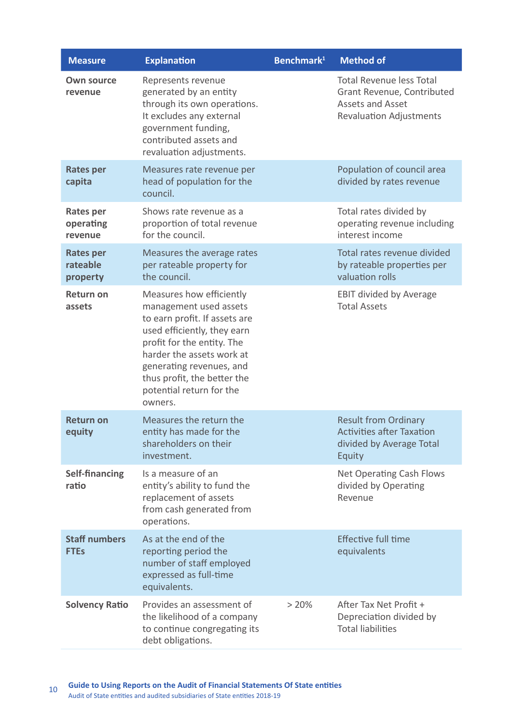| <b>Measure</b>                           | <b>Explanation</b>                                                                                                                                                                                                                                                              | Benchmark <sup>1</sup> | <b>Method of</b>                                                                                                           |
|------------------------------------------|---------------------------------------------------------------------------------------------------------------------------------------------------------------------------------------------------------------------------------------------------------------------------------|------------------------|----------------------------------------------------------------------------------------------------------------------------|
| <b>Own source</b><br>revenue             | Represents revenue<br>generated by an entity<br>through its own operations.<br>It excludes any external<br>government funding,<br>contributed assets and<br>revaluation adjustments.                                                                                            |                        | <b>Total Revenue less Total</b><br>Grant Revenue, Contributed<br><b>Assets and Asset</b><br><b>Revaluation Adjustments</b> |
| <b>Rates per</b><br>capita               | Measures rate revenue per<br>head of population for the<br>council.                                                                                                                                                                                                             |                        | Population of council area<br>divided by rates revenue                                                                     |
| <b>Rates per</b><br>operating<br>revenue | Shows rate revenue as a<br>proportion of total revenue<br>for the council.                                                                                                                                                                                                      |                        | Total rates divided by<br>operating revenue including<br>interest income                                                   |
| <b>Rates per</b><br>rateable<br>property | Measures the average rates<br>per rateable property for<br>the council.                                                                                                                                                                                                         |                        | Total rates revenue divided<br>by rateable properties per<br>valuation rolls                                               |
| <b>Return on</b><br>assets               | Measures how efficiently<br>management used assets<br>to earn profit. If assets are<br>used efficiently, they earn<br>profit for the entity. The<br>harder the assets work at<br>generating revenues, and<br>thus profit, the better the<br>potential return for the<br>owners. |                        | <b>EBIT divided by Average</b><br><b>Total Assets</b>                                                                      |
| <b>Return on</b><br>equity               | Measures the return the<br>entity has made for the<br>shareholders on their<br>investment.                                                                                                                                                                                      |                        | <b>Result from Ordinary</b><br><b>Activities after Taxation</b><br>divided by Average Total<br>Equity                      |
| <b>Self-financing</b><br>ratio           | Is a measure of an<br>entity's ability to fund the<br>replacement of assets<br>from cash generated from<br>operations.                                                                                                                                                          |                        | <b>Net Operating Cash Flows</b><br>divided by Operating<br>Revenue                                                         |
| <b>Staff numbers</b><br><b>FTEs</b>      | As at the end of the<br>reporting period the<br>number of staff employed<br>expressed as full-time<br>equivalents.                                                                                                                                                              |                        | <b>Effective full time</b><br>equivalents                                                                                  |
| <b>Solvency Ratio</b>                    | Provides an assessment of<br>the likelihood of a company<br>to continue congregating its<br>debt obligations.                                                                                                                                                                   | > 20%                  | After Tax Net Profit +<br>Depreciation divided by<br><b>Total liabilities</b>                                              |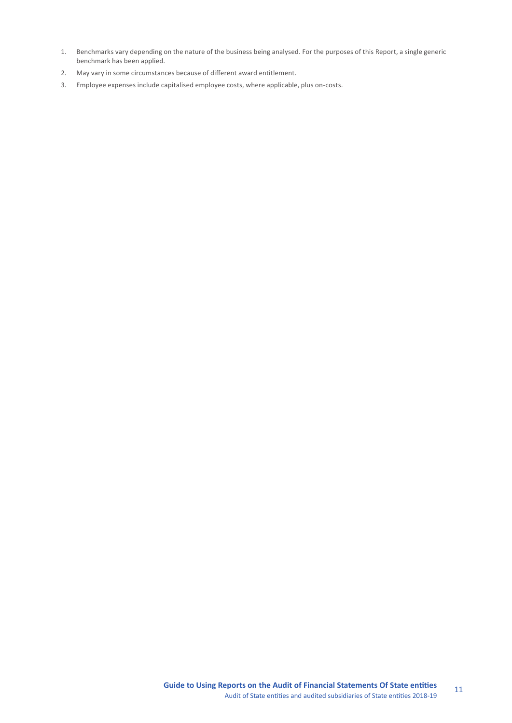- 1. Benchmarks vary depending on the nature of the business being analysed. For the purposes of this Report, a single generic benchmark has been applied.
- 2. May vary in some circumstances because of different award entitlement.
- 3. Employee expenses include capitalised employee costs, where applicable, plus on-costs.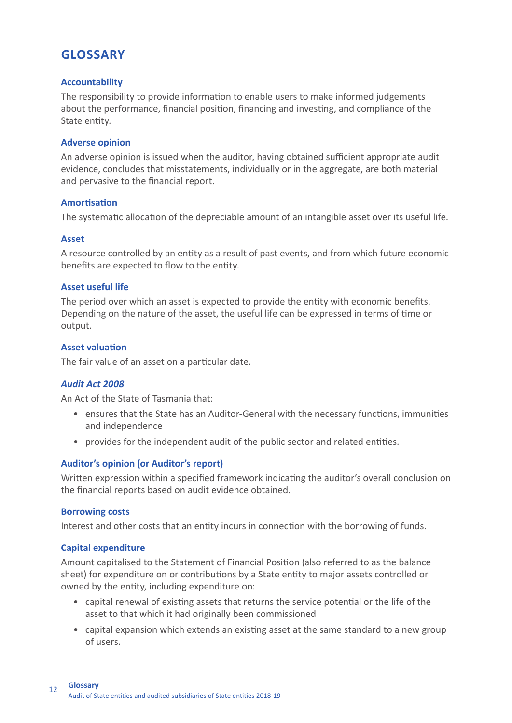## **GLOSSARY**

## **Accountability**

The responsibility to provide information to enable users to make informed judgements about the performance, financial position, financing and investing, and compliance of the State entity.

## **Adverse opinion**

An adverse opinion is issued when the auditor, having obtained sufficient appropriate audit evidence, concludes that misstatements, individually or in the aggregate, are both material and pervasive to the financial report.

## **Amortisation**

The systematic allocation of the depreciable amount of an intangible asset over its useful life.

## **Asset**

A resource controlled by an entity as a result of past events, and from which future economic benefits are expected to flow to the entity.

## **Asset useful life**

The period over which an asset is expected to provide the entity with economic benefits. Depending on the nature of the asset, the useful life can be expressed in terms of time or output.

## **Asset valuation**

The fair value of an asset on a particular date.

## *Audit Act 2008*

An Act of the State of Tasmania that:

- ensures that the State has an Auditor-General with the necessary functions, immunities and independence
- provides for the independent audit of the public sector and related entities.

## **Auditor's opinion (or Auditor's report)**

Written expression within a specified framework indicating the auditor's overall conclusion on the financial reports based on audit evidence obtained.

#### **Borrowing costs**

Interest and other costs that an entity incurs in connection with the borrowing of funds.

## **Capital expenditure**

Amount capitalised to the Statement of Financial Position (also referred to as the balance sheet) for expenditure on or contributions by a State entity to major assets controlled or owned by the entity, including expenditure on:

- capital renewal of existing assets that returns the service potential or the life of the asset to that which it had originally been commissioned
- capital expansion which extends an existing asset at the same standard to a new group of users.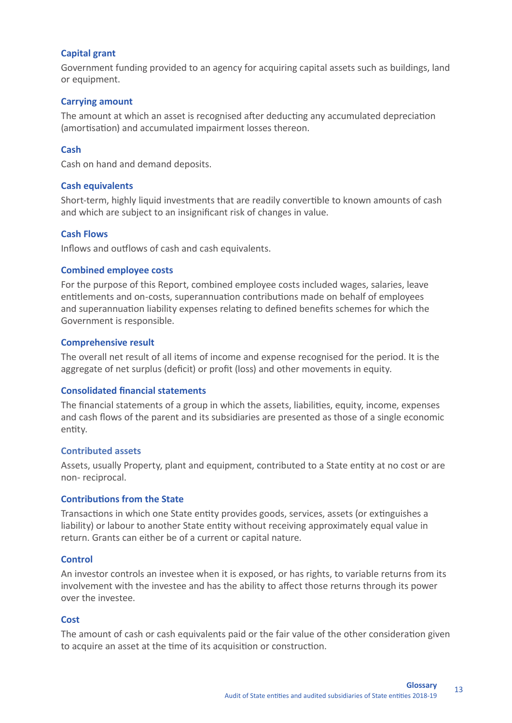## **Capital grant**

Government funding provided to an agency for acquiring capital assets such as buildings, land or equipment.

## **Carrying amount**

The amount at which an asset is recognised after deducting any accumulated depreciation (amortisation) and accumulated impairment losses thereon.

## **Cash**

Cash on hand and demand deposits.

## **Cash equivalents**

Short-term, highly liquid investments that are readily convertible to known amounts of cash and which are subject to an insignificant risk of changes in value.

## **Cash Flows**

Inflows and outflows of cash and cash equivalents.

## **Combined employee costs**

For the purpose of this Report, combined employee costs included wages, salaries, leave entitlements and on-costs, superannuation contributions made on behalf of employees and superannuation liability expenses relating to defined benefits schemes for which the Government is responsible.

#### **Comprehensive result**

The overall net result of all items of income and expense recognised for the period. It is the aggregate of net surplus (deficit) or profit (loss) and other movements in equity.

#### **Consolidated financial statements**

The financial statements of a group in which the assets, liabilities, equity, income, expenses and cash flows of the parent and its subsidiaries are presented as those of a single economic entity.

#### **Contributed assets**

Assets, usually Property, plant and equipment, contributed to a State entity at no cost or are non- reciprocal.

#### **Contributions from the State**

Transactions in which one State entity provides goods, services, assets (or extinguishes a liability) or labour to another State entity without receiving approximately equal value in return. Grants can either be of a current or capital nature.

#### **Control**

An investor controls an investee when it is exposed, or has rights, to variable returns from its involvement with the investee and has the ability to affect those returns through its power over the investee.

## **Cost**

The amount of cash or cash equivalents paid or the fair value of the other consideration given to acquire an asset at the time of its acquisition or construction.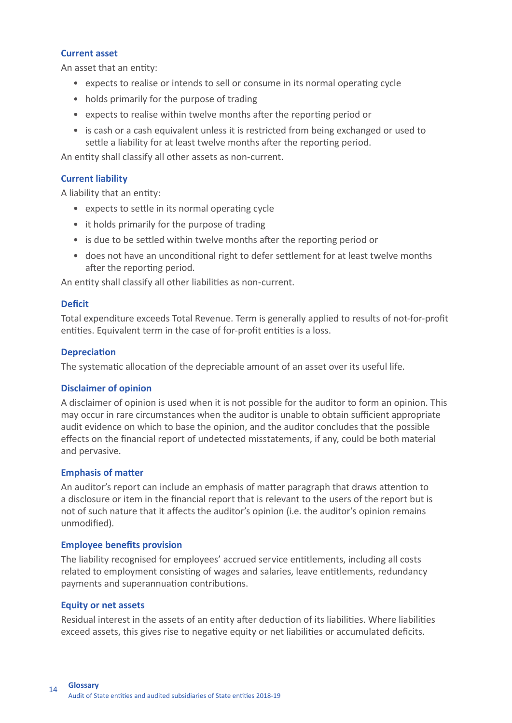## **Current asset**

An asset that an entity:

- expects to realise or intends to sell or consume in its normal operating cycle
- holds primarily for the purpose of trading
- expects to realise within twelve months after the reporting period or
- is cash or a cash equivalent unless it is restricted from being exchanged or used to settle a liability for at least twelve months after the reporting period.

An entity shall classify all other assets as non-current.

## **Current liability**

A liability that an entity:

- expects to settle in its normal operating cycle
- it holds primarily for the purpose of trading
- is due to be settled within twelve months after the reporting period or
- does not have an unconditional right to defer settlement for at least twelve months after the reporting period.

An entity shall classify all other liabilities as non-current.

## **Deficit**

Total expenditure exceeds Total Revenue. Term is generally applied to results of not-for-profit entities. Equivalent term in the case of for-profit entities is a loss.

## **Depreciation**

The systematic allocation of the depreciable amount of an asset over its useful life.

## **Disclaimer of opinion**

A disclaimer of opinion is used when it is not possible for the auditor to form an opinion. This may occur in rare circumstances when the auditor is unable to obtain sufficient appropriate audit evidence on which to base the opinion, and the auditor concludes that the possible effects on the financial report of undetected misstatements, if any, could be both material and pervasive.

## **Emphasis of matter**

An auditor's report can include an emphasis of matter paragraph that draws attention to a disclosure or item in the financial report that is relevant to the users of the report but is not of such nature that it affects the auditor's opinion (i.e. the auditor's opinion remains unmodified).

#### **Employee benefits provision**

The liability recognised for employees' accrued service entitlements, including all costs related to employment consisting of wages and salaries, leave entitlements, redundancy payments and superannuation contributions.

## **Equity or net assets**

Residual interest in the assets of an entity after deduction of its liabilities. Where liabilities exceed assets, this gives rise to negative equity or net liabilities or accumulated deficits.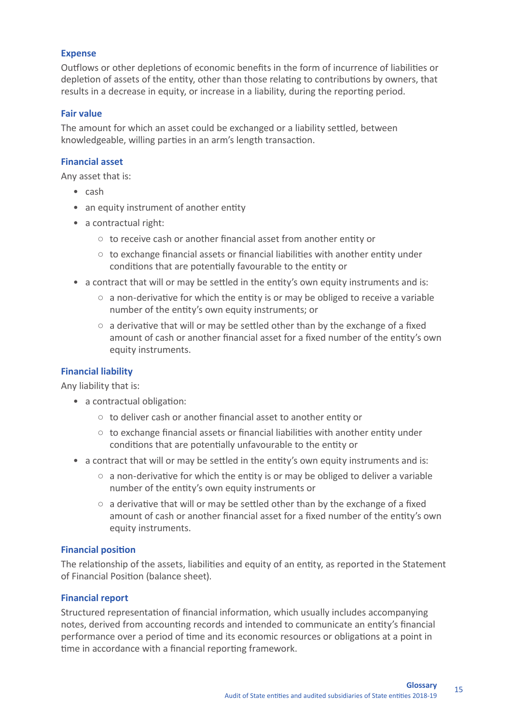## **Expense**

Outflows or other depletions of economic benefits in the form of incurrence of liabilities or depletion of assets of the entity, other than those relating to contributions by owners, that results in a decrease in equity, or increase in a liability, during the reporting period.

## **Fair value**

The amount for which an asset could be exchanged or a liability settled, between knowledgeable, willing parties in an arm's length transaction.

## **Financial asset**

Any asset that is:

- cash
- an equity instrument of another entity
- a contractual right:
	- to receive cash or another financial asset from another entity or
	- $\circ$  to exchange financial assets or financial liabilities with another entity under conditions that are potentially favourable to the entity or
- a contract that will or may be settled in the entity's own equity instruments and is:
	- $\circ$  a non-derivative for which the entity is or may be obliged to receive a variable number of the entity's own equity instruments; or
	- $\circ$  a derivative that will or may be settled other than by the exchange of a fixed amount of cash or another financial asset for a fixed number of the entity's own equity instruments.

## **Financial liability**

Any liability that is:

- a contractual obligation:
	- to deliver cash or another financial asset to another entity or
	- $\circ$  to exchange financial assets or financial liabilities with another entity under conditions that are potentially unfavourable to the entity or
- a contract that will or may be settled in the entity's own equity instruments and is:
	- $\circ$  a non-derivative for which the entity is or may be obliged to deliver a variable number of the entity's own equity instruments or
	- $\circ$  a derivative that will or may be settled other than by the exchange of a fixed amount of cash or another financial asset for a fixed number of the entity's own equity instruments.

## **Financial position**

The relationship of the assets, liabilities and equity of an entity, as reported in the Statement of Financial Position (balance sheet).

## **Financial report**

Structured representation of financial information, which usually includes accompanying notes, derived from accounting records and intended to communicate an entity's financial performance over a period of time and its economic resources or obligations at a point in time in accordance with a financial reporting framework.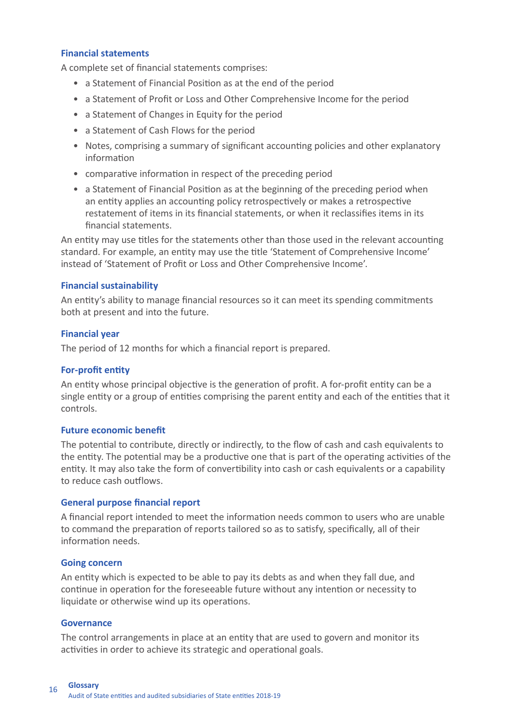## **Financial statements**

A complete set of financial statements comprises:

- a Statement of Financial Position as at the end of the period
- a Statement of Profit or Loss and Other Comprehensive Income for the period
- a Statement of Changes in Equity for the period
- a Statement of Cash Flows for the period
- Notes, comprising a summary of significant accounting policies and other explanatory information
- comparative information in respect of the preceding period
- a Statement of Financial Position as at the beginning of the preceding period when an entity applies an accounting policy retrospectively or makes a retrospective restatement of items in its financial statements, or when it reclassifies items in its financial statements.

An entity may use titles for the statements other than those used in the relevant accounting standard. For example, an entity may use the title 'Statement of Comprehensive Income' instead of 'Statement of Profit or Loss and Other Comprehensive Income'.

## **Financial sustainability**

An entity's ability to manage financial resources so it can meet its spending commitments both at present and into the future.

## **Financial year**

The period of 12 months for which a financial report is prepared.

#### **For-profit entity**

An entity whose principal objective is the generation of profit. A for-profit entity can be a single entity or a group of entities comprising the parent entity and each of the entities that it controls.

#### **Future economic benefit**

The potential to contribute, directly or indirectly, to the flow of cash and cash equivalents to the entity. The potential may be a productive one that is part of the operating activities of the entity. It may also take the form of convertibility into cash or cash equivalents or a capability to reduce cash outflows.

#### **General purpose financial report**

A financial report intended to meet the information needs common to users who are unable to command the preparation of reports tailored so as to satisfy, specifically, all of their information needs.

#### **Going concern**

An entity which is expected to be able to pay its debts as and when they fall due, and continue in operation for the foreseeable future without any intention or necessity to liquidate or otherwise wind up its operations.

#### **Governance**

The control arrangements in place at an entity that are used to govern and monitor its activities in order to achieve its strategic and operational goals.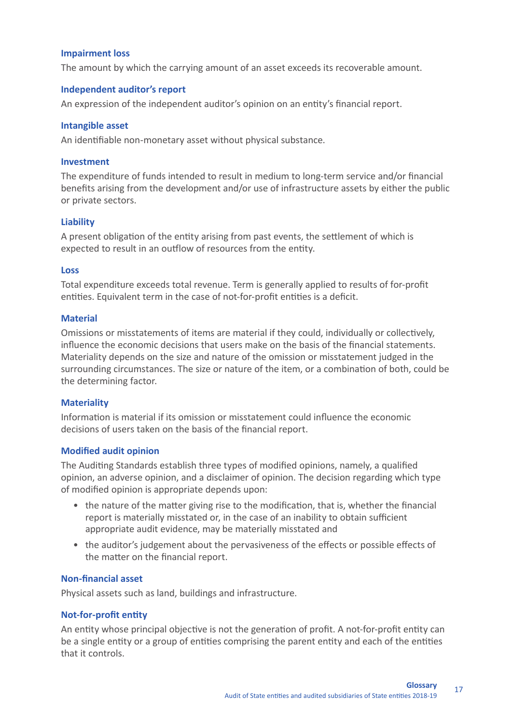## **Impairment loss**

The amount by which the carrying amount of an asset exceeds its recoverable amount.

## **Independent auditor's report**

An expression of the independent auditor's opinion on an entity's financial report.

#### **Intangible asset**

An identifiable non-monetary asset without physical substance.

#### **Investment**

The expenditure of funds intended to result in medium to long-term service and/or financial benefits arising from the development and/or use of infrastructure assets by either the public or private sectors.

## **Liability**

A present obligation of the entity arising from past events, the settlement of which is expected to result in an outflow of resources from the entity.

#### **Loss**

Total expenditure exceeds total revenue. Term is generally applied to results of for-profit entities. Equivalent term in the case of not-for-profit entities is a deficit.

## **Material**

Omissions or misstatements of items are material if they could, individually or collectively, influence the economic decisions that users make on the basis of the financial statements. Materiality depends on the size and nature of the omission or misstatement judged in the surrounding circumstances. The size or nature of the item, or a combination of both, could be the determining factor.

#### **Materiality**

Information is material if its omission or misstatement could influence the economic decisions of users taken on the basis of the financial report.

#### **Modified audit opinion**

The Auditing Standards establish three types of modified opinions, namely, a qualified opinion, an adverse opinion, and a disclaimer of opinion. The decision regarding which type of modified opinion is appropriate depends upon:

- the nature of the matter giving rise to the modification, that is, whether the financial report is materially misstated or, in the case of an inability to obtain sufficient appropriate audit evidence, may be materially misstated and
- the auditor's judgement about the pervasiveness of the effects or possible effects of the matter on the financial report.

#### **Non-financial asset**

Physical assets such as land, buildings and infrastructure.

#### **Not-for-profit entity**

An entity whose principal objective is not the generation of profit. A not-for-profit entity can be a single entity or a group of entities comprising the parent entity and each of the entities that it controls.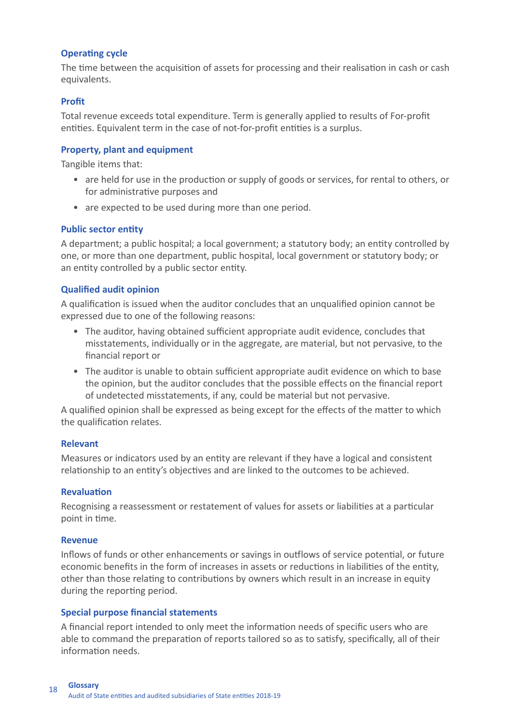## **Operating cycle**

The time between the acquisition of assets for processing and their realisation in cash or cash equivalents.

## **Profit**

Total revenue exceeds total expenditure. Term is generally applied to results of For-profit entities. Equivalent term in the case of not-for-profit entities is a surplus.

## **Property, plant and equipment**

Tangible items that:

- are held for use in the production or supply of goods or services, for rental to others, or for administrative purposes and
- are expected to be used during more than one period.

## **Public sector entity**

A department; a public hospital; a local government; a statutory body; an entity controlled by one, or more than one department, public hospital, local government or statutory body; or an entity controlled by a public sector entity.

## **Qualified audit opinion**

A qualification is issued when the auditor concludes that an unqualified opinion cannot be expressed due to one of the following reasons:

- The auditor, having obtained sufficient appropriate audit evidence, concludes that misstatements, individually or in the aggregate, are material, but not pervasive, to the financial report or
- The auditor is unable to obtain sufficient appropriate audit evidence on which to base the opinion, but the auditor concludes that the possible effects on the financial report of undetected misstatements, if any, could be material but not pervasive.

A qualified opinion shall be expressed as being except for the effects of the matter to which the qualification relates.

#### **Relevant**

Measures or indicators used by an entity are relevant if they have a logical and consistent relationship to an entity's objectives and are linked to the outcomes to be achieved.

#### **Revaluation**

Recognising a reassessment or restatement of values for assets or liabilities at a particular point in time.

#### **Revenue**

Inflows of funds or other enhancements or savings in outflows of service potential, or future economic benefits in the form of increases in assets or reductions in liabilities of the entity, other than those relating to contributions by owners which result in an increase in equity during the reporting period.

#### **Special purpose financial statements**

A financial report intended to only meet the information needs of specific users who are able to command the preparation of reports tailored so as to satisfy, specifically, all of their information needs.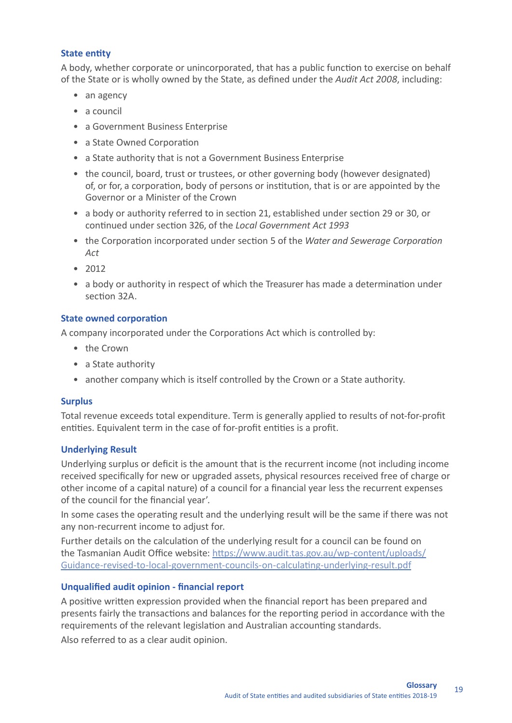## **State entity**

A body, whether corporate or unincorporated, that has a public function to exercise on behalf of the State or is wholly owned by the State, as defined under the *Audit Act 2008*, including:

- an agency
- a council
- a Government Business Enterprise
- a State Owned Corporation
- a State authority that is not a Government Business Enterprise
- the council, board, trust or trustees, or other governing body (however designated) of, or for, a corporation, body of persons or institution, that is or are appointed by the Governor or a Minister of the Crown
- a body or authority referred to in section 21, established under section 29 or 30, or continued under section 326, of the *Local Government Act 1993*
- the Corporation incorporated under section 5 of the *Water and Sewerage Corporation Act*
- 2012
- a body or authority in respect of which the Treasurer has made a determination under section 32A.

## **State owned corporation**

A company incorporated under the Corporations Act which is controlled by:

- the Crown
- a State authority
- another company which is itself controlled by the Crown or a State authority.

## **Surplus**

Total revenue exceeds total expenditure. Term is generally applied to results of not-for-profit entities. Equivalent term in the case of for-profit entities is a profit.

## **Underlying Result**

Underlying surplus or deficit is the amount that is the recurrent income (not including income received specifically for new or upgraded assets, physical resources received free of charge or other income of a capital nature) of a council for a financial year less the recurrent expenses of the council for the financial year'.

In some cases the operating result and the underlying result will be the same if there was not any non-recurrent income to adjust for.

Further details on the calculation of the underlying result for a council can be found on the Tasmanian Audit Office website: https://www.audit.tas.gov.au/wp-content/uploads/ Guidance-revised-to-local-government-councils-on-calculating-underlying-result.pdf

## **Unqualified audit opinion - financial report**

A positive written expression provided when the financial report has been prepared and presents fairly the transactions and balances for the reporting period in accordance with the requirements of the relevant legislation and Australian accounting standards.

Also referred to as a clear audit opinion.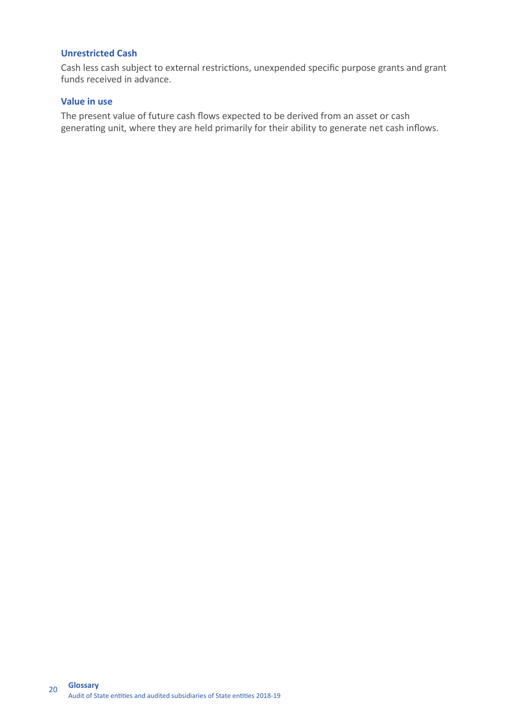## **Unrestricted Cash**

Cash less cash subject to external restrictions, unexpended specific purpose grants and grant funds received in advance.

## **Value in use**

The present value of future cash flows expected to be derived from an asset or cash generating unit, where they are held primarily for their ability to generate net cash inflows.